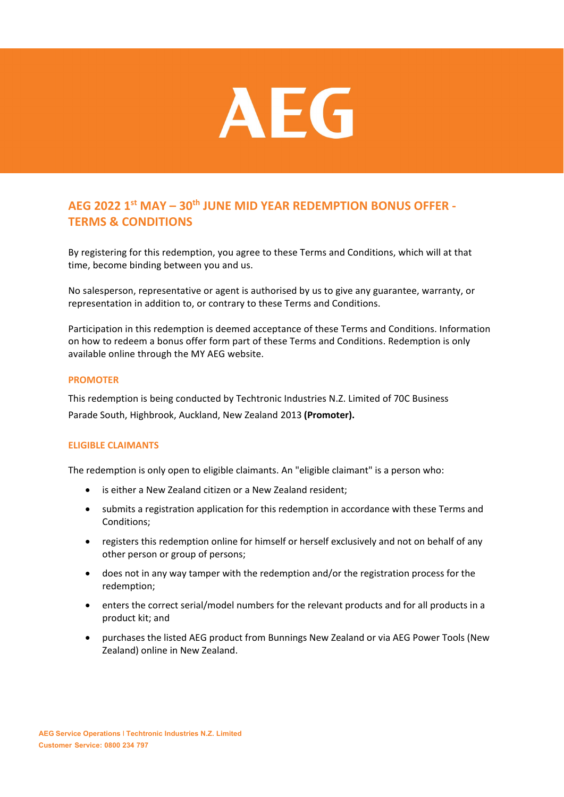

# **AEG 2022 1st MAY – 30th JUNE MID YEAR REDEMPTION BONUS OFFER - TERMS & CONDITIONS**

By registering for this redemption, you agree to these Terms and Conditions, which will at that time, become binding between you and us.

No salesperson, representative or agent is authorised by us to give any guarantee, warranty, or representation in addition to, or contrary to these Terms and Conditions.

Participation in this redemption is deemed acceptance of these Terms and Conditions. Information on how to redeem a bonus offer form part of these Terms and Conditions. Redemption is only available online through the MY AEG website.

## **PROMOTER**

This redemption is being conducted by Techtronic Industries N.Z. Limited of 70C Business Parade South, Highbrook, Auckland, New Zealand 2013 **(Promoter).**

## **ELIGIBLE CLAIMANTS**

The redemption is only open to eligible claimants. An "eligible claimant" is a person who:

- is either a New Zealand citizen or a New Zealand resident;
- submits a registration application for this redemption in accordance with these Terms and Conditions;
- registers this redemption online for himself or herself exclusively and not on behalf of any other person or group of persons;
- does not in any way tamper with the redemption and/or the registration process for the redemption;
- enters the correct serial/model numbers for the relevant products and for all products in a product kit; and
- purchases the listed AEG product from Bunnings New Zealand or via AEG Power Tools (New Zealand) online in New Zealand.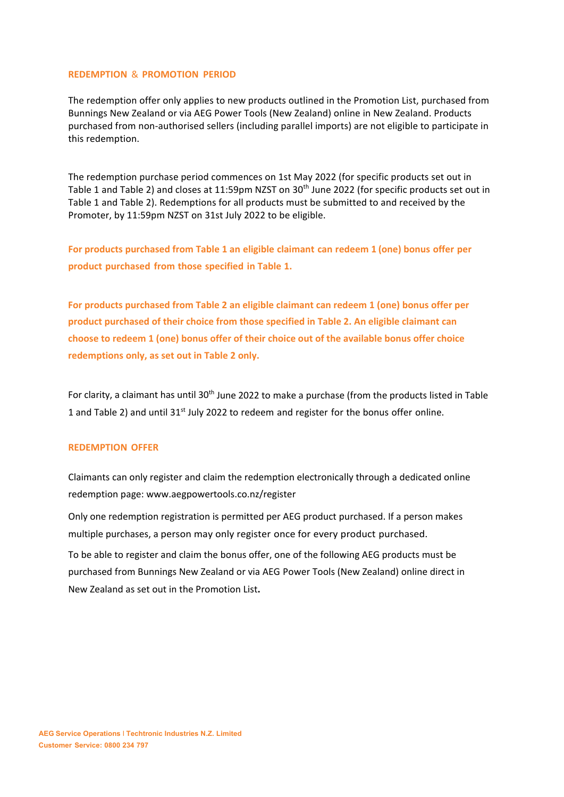#### **REDEMPTION** & **PROMOTION PERIOD**

The redemption offer only applies to new products outlined in the Promotion List, purchased from Bunnings New Zealand or via AEG Power Tools (New Zealand) online in New Zealand. Products purchased from non-authorised sellers (including parallel imports) are not eligible to participate in this redemption.

The redemption purchase period commences on 1st May 2022 (for specific products set out in Table 1 and Table 2) and closes at 11:59pm NZST on 30<sup>th</sup> June 2022 (for specific products set out in Table 1 and Table 2). Redemptions for all products must be submitted to and received by the Promoter, by 11:59pm NZST on 31st July 2022 to be eligible.

**For products purchased from Table 1 an eligible claimant can redeem 1 (one) bonus offer per product purchased from those specified in Table 1.**

**For products purchased from Table 2 an eligible claimant can redeem 1 (one) bonus offer per product purchased of their choice from those specified in Table 2. An eligible claimant can choose to redeem 1 (one) bonus offer of their choice out of the available bonus offer choice redemptions only, as set out in Table 2 only.**

For clarity, a claimant has until 30<sup>th</sup> June 2022 to make a purchase (from the products listed in Table 1 and Table 2) and until 31<sup>st</sup> July 2022 to redeem and register for the bonus offer online.

#### **REDEMPTION OFFER**

Claimants can only register and claim the redemption electronically through a dedicated online redemption page: [www.aegpowertools.co.nz/register](http://www.aegpowertools.co.nz/register)

Only one redemption registration is permitted per AEG product purchased. If a person makes multiple purchases, a person may only register once for every product purchased.

To be able to register and claim the bonus offer, one of the following AEG products must be purchased from Bunnings New Zealand or via AEG Power Tools (New Zealand) online direct in New Zealand as set out in the Promotion List**.**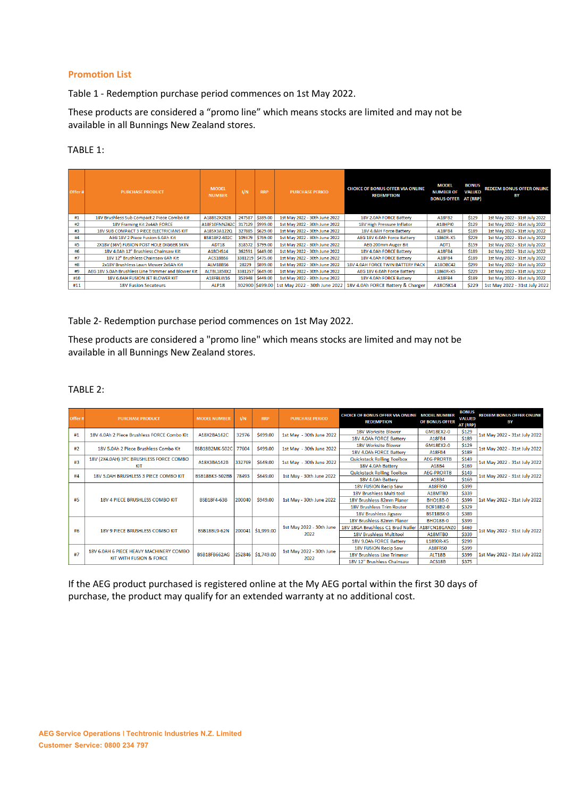## **Promotion List**

Table 1 - Redemption purchase period commences on 1st May 2022.

These products are considered a "promo line" which means stocks are limited and may not be available in all Bunnings New Zealand stores.

## TABLE 1:

| Offer# | <b>PURCHASE PRODUCT</b>                             | <b>MODEL</b><br><b>NUMBER</b> | 1/N    | <b>RRP</b>       | <b>PURCHASE PERIOD</b>        | <b>CHOICE OF BONUS OFFER VIA ONLINE</b><br><b>REDEMPTION</b> | <b>MODEL</b><br><b>NUMBER OF</b><br><b>BONUS OFFER AT (RRP)</b> | <b>BONUS</b><br><b>VALUED</b> | <b>REDEEM BONUS OFFER ONLINE</b><br>ΒY |
|--------|-----------------------------------------------------|-------------------------------|--------|------------------|-------------------------------|--------------------------------------------------------------|-----------------------------------------------------------------|-------------------------------|----------------------------------------|
| #1     | 18V Brushless Sub Compact 2 Piece Combo Kit         | A18BS2X202B                   | 247587 | \$389.00         | 1st May 2022 - 30th June 2022 | 18V 2.0Ah FORCE Battery                                      | A18FB2                                                          | \$129                         | 1st May 2022 - 31st July 2022          |
| #2     | 18V Framing Kit 2x4Ah FORCE                         | A18F10FNNZ42C                 | 317129 | \$999.00         | 1st May 2022 - 30th June 2022 | 18V High Pressure Inflator                                   | <b>A18HPI0</b>                                                  | \$129                         | 1st May 2022 - 31st July 2022          |
| #3     | 18V SUB COMPACT 3 PIECE ELECTRICIANS KIT            | A18SX3A122Q                   | 327885 | \$629.00         | 1st May 2022 - 30th June 2022 | 18V 4.0AH Force Battery                                      | A18FB4                                                          | \$189                         | 1st May 2022 - 31st July 2022          |
| #4     | AEG 18V 2 Piece Fusion 6.0Ah Kit                    | <b>BSB18F2-602C</b>           | 109379 | \$769.00         | 1st May 2022 - 30th June 2022 | AEG 18V 6.0Ah Force Battery                                  | L1860R-X5                                                       | \$229                         | 1st May 2022 - 31st July 2022          |
| #5     | 2X18V (36V) FUSION POST HOLE DIGGER SKIN            | ADT <sub>18</sub>             |        | 318572 \$799.00  | 1st May 2022 - 30th June 2022 | AEG 200mm Auger Bit                                          | ADT <sub>1</sub>                                                | \$159                         | 1st May 2022 - 31st July 2022          |
| #6     | 18V 4.0Ah 12" Brushless Chainsaw Kit                | A18CHS14                      | 362591 | \$449.00         | 1st May 2022 - 30th June 2022 | 18V 4.0Ah FORCE Battery                                      | A18FB4                                                          | \$189                         | 1st May 2022 - 31st July 2022          |
| #7     | 18V 12" Brushless Chainsaw 6Ah Kit                  | ACS18BS6                      |        | 3381219 \$475.00 | 1st May 2022 - 30th June 2022 | 18V 4.0Ah FORCE Battery                                      | A18FB4                                                          | \$189                         | 1st May 2022 - 31st July 2022          |
| #8     | 2x18V Brushless Lawn Mower 2x6Ah Kit                | <b>ALM18BS6</b>               | 28229  | \$899.00         | 1st May 2022 - 30th June 2022 | 18V 4.0AH FORCE TWIN BATTERY PACK                            | A18OBC42                                                        | \$299                         | 1st May 2022 - 31st July 2022          |
| #9     | AEG 18V 5.0Ah Brushless Line Trimmer and Blower Kit | <b>ALTBL1850X2</b>            |        | 3381257 \$649.00 | 1st May 2022 - 30th June 2022 | AEG 18V 6.0Ah Force Battery                                  | L1860R-X5                                                       | \$229                         | 1st May 2022 - 31st July 2022          |
| #10    | 18V 6.0AH FUSION JET BLOWER KIT                     | A18FBLW16                     | 353948 | \$449.00         | 1st May 2022 - 30th June 2022 | 18V 4.0Ah FORCE Battery                                      | A18FB4                                                          | \$189                         | 1st May 2022 - 31st July 2022          |
| #11    | <b>18V Fusion Secateurs</b>                         | ALP <sub>18</sub>             |        | 302900 \$499.00  | 1st May 2022 - 30th June 2022 | 18V 4.0Ah FORCE Battery & Charger                            | A18OSK14                                                        | \$229                         | 1st May 2022 - 31st July 2022          |

Table 2- Redemption purchase period commences on 1st May 2022.

These products are considered a "promo line" which means stocks are limited and may not be available in all Bunnings New Zealand stores.

# TABLE 2:

| Offer# | <b>PURCHASE PRODUCT</b>                                                       | <b>MODEL NUMBER</b>   | 1/N    | <b>RRP</b>        | <b>PURCHASE PERIOD</b>           | <b>CHOICE OF BONUS OFFER VIA ONLINE MODEL NUMBER</b><br><b>REDEMPTION</b> | OF BONUS OFFER    | <b>BONUS</b><br><b>VALUED</b><br>AT (RRP) | <b>REDEEM BONUS OFFER ONLINE</b><br>BY |
|--------|-------------------------------------------------------------------------------|-----------------------|--------|-------------------|----------------------------------|---------------------------------------------------------------------------|-------------------|-------------------------------------------|----------------------------------------|
| #1     | 18V 4.0Ah 2 Piece Brushless FORCE Combo Kit                                   | A18X2BA142C           | 32976  | \$499.00          | 1st May - 30th June 2022         | 18V Worksite Blower                                                       | GM18EX2-0         | \$129                                     | 1st May 2022 - 31st July 2022          |
|        |                                                                               |                       |        |                   |                                  | 18V 4.0Ah FORCE Battery                                                   | A18FB4            | \$189                                     |                                        |
| #2     | 18V 5.0Ah 2 Piece Brushless Combo Kit                                         | <b>BSB18B2MK-502C</b> | 77604  | \$499.00          | 1st May - 30th June 2022         | 18V Worksite Blower                                                       | GM18FX2-0         | \$129                                     | 1st May 2022 - 31st July 2022          |
|        |                                                                               |                       |        |                   |                                  | 18V 4.0Ah FORCE Battery                                                   | A18FB4            | \$189                                     |                                        |
| #3     | 18V (2X4.0AH) 3PC BRUSHLESS FORCE COMBO<br><b>KIT</b>                         | A18X3BA142B           | 332769 | \$649.00          | 1st May - 30th June 2022         | <b>Quickstack Rolling Toolbox</b>                                         | <b>AEG-PRORTB</b> | \$149                                     | 1st May 2022 - 31st July 2022          |
|        |                                                                               |                       |        |                   |                                  | 18V 4.0Ah Battery                                                         | A18B4             | \$169                                     |                                        |
| #4     | 18V 5.0AH BRUSHLESS 3 PIECE COMBO KIT                                         | BSB18BK3-502BB        | 78493  | \$649.00          | 1st May - 30th June 2022         | <b>Quickstack Rolling Toolbox</b>                                         | <b>AEG-PRORTB</b> | \$149                                     | 1st May 2022 - 31st July 2022          |
|        |                                                                               |                       |        |                   |                                  | 18V 4.0Ah Battery                                                         | A18B4             | \$169                                     |                                        |
| #5     | <b>18V 4 PIECE BRUSHLESS COMBO KIT</b>                                        | <b>BSB18F4-63B</b>    | 200040 | \$949.00          | 1st May - 30th June 2022         | <b>18V FUSION Recip Saw</b>                                               | A18FRS0           | \$399                                     | 1st May 2022 - 31st July 2022          |
|        |                                                                               |                       |        |                   |                                  | 18V Brushless Multi tool                                                  | A18MTB0           | \$339                                     |                                        |
|        |                                                                               |                       |        |                   |                                  | 18V Brushless 82mm Planer                                                 | <b>BHO18B-0</b>   | \$399                                     |                                        |
|        |                                                                               |                       |        |                   |                                  | <b>18V Brushless Trim Router</b>                                          | <b>BOF18B2-0</b>  | \$329                                     |                                        |
|        |                                                                               |                       |        |                   |                                  | 18V Brushless Jigsaw                                                      | <b>BST18BX-0</b>  | \$389                                     |                                        |
| #6     | <b>18V 9 PIECE BRUSHLESS COMBO KIT</b>                                        | <b>BSB18BL9-62N</b>   | 200041 | \$1,999.00        | 1st May 2022 - 30th June<br>2022 | 18V Brushless 82mm Planer                                                 | <b>BHO18B-0</b>   | \$399                                     | 1st May 2022 - 31st July 2022          |
|        |                                                                               |                       |        |                   |                                  | 18V 18GA Brushless C1 Brad Nailer                                         | A18FCN18GANZ0     | \$469                                     |                                        |
|        |                                                                               |                       |        |                   |                                  | <b>18V Brushless Multitool</b>                                            | A18MTB0           | \$339                                     |                                        |
|        |                                                                               |                       |        |                   |                                  | 18V 9.0Ah FORCE Battery                                                   | L1890R-X5         | \$299                                     |                                        |
| #7     | 18V 6.0AH 6 PIECE HEAVY MACHINERY COMBO<br><b>KIT WITH FUSION &amp; FORCE</b> | BSB18FB662AG          |        | 252846 \$1,749.00 | 1st May 2022 - 30th June<br>2022 | 18V FUSION Recip Saw                                                      | A18FR50           | \$399                                     | 1st May 2022 - 31st July 2022          |
|        |                                                                               |                       |        |                   |                                  | <b>18V Brushless Line Trimmer</b>                                         | ALT18B            | \$399                                     |                                        |
|        |                                                                               |                       |        |                   |                                  | 18V 12" Brushless Chainsaw                                                | ACS18B            | \$375                                     |                                        |

If the AEG product purchased is registered online at the My AEG portal within the first 30 days of purchase, the product may qualify for an extended warranty at no additional cost.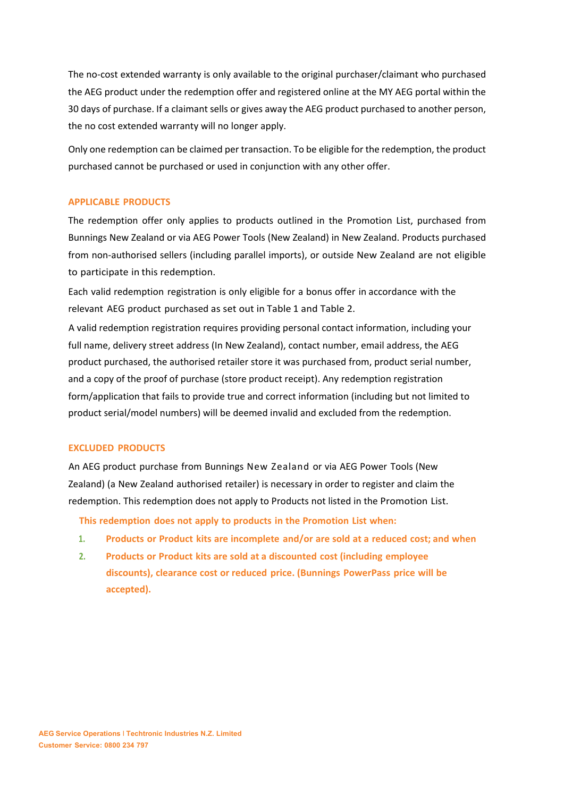The no-cost extended warranty is only available to the original purchaser/claimant who purchased the AEG product under the redemption offer and registered online at the MY AEG portal within the 30 days of purchase. If a claimant sells or gives away the AEG product purchased to another person, the no cost extended warranty will no longer apply.

Only one redemption can be claimed per transaction. To be eligible for the redemption, the product purchased cannot be purchased or used in conjunction with any other offer.

## **APPLICABLE PRODUCTS**

The redemption offer only applies to products outlined in the Promotion List, purchased from Bunnings New Zealand or via AEG Power Tools (New Zealand) in New Zealand. Products purchased from non-authorised sellers (including parallel imports), or outside New Zealand are not eligible to participate in this redemption.

Each valid redemption registration is only eligible for a bonus offer in accordance with the relevant AEG product purchased as set out in Table 1 and Table 2.

A valid redemption registration requires providing personal contact information, including your full name, delivery street address (In New Zealand), contact number, email address, the AEG product purchased, the authorised retailer store it was purchased from, product serial number, and a copy of the proof of purchase (store product receipt). Any redemption registration form/application that fails to provide true and correct information (including but not limited to product serial/model numbers) will be deemed invalid and excluded from the redemption.

#### **EXCLUDED PRODUCTS**

An AEG product purchase from Bunnings New Zealand or via AEG Power Tools (New Zealand) (a New Zealand authorised retailer) is necessary in order to register and claim the redemption. This redemption does not apply to Products not listed in the Promotion List.

**This redemption does not apply to products in the Promotion List when:**

- **1. Products or Product kits are incomplete and/or are sold at a reduced cost; and when**
- **2. Products or Product kits are sold at a discounted cost (including employee discounts), clearance cost or reduced price. (Bunnings PowerPass price will be accepted).**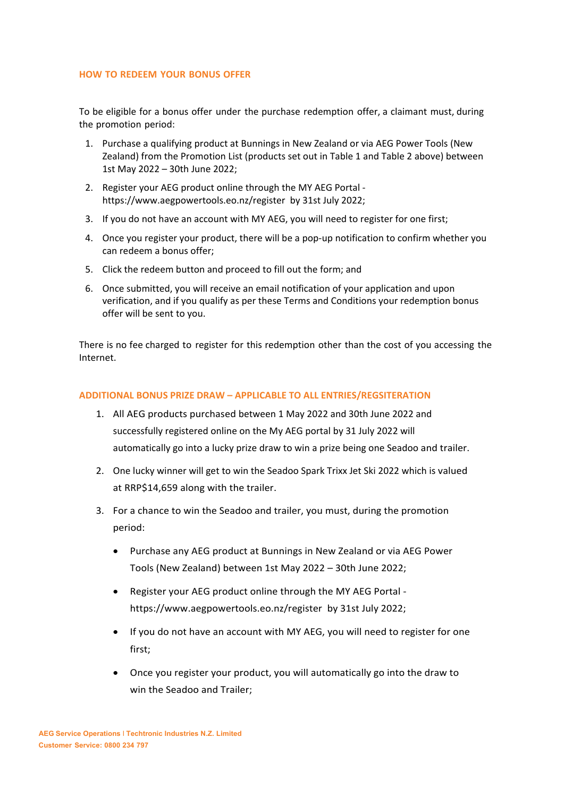#### **HOW TO REDEEM YOUR BONUS OFFER**

To be eligible for a bonus offer under the purchase redemption offer, a claimant must, during the promotion period:

- 1. Purchase a qualifying product at Bunnings in New Zealand or via AEG Power Tools (New Zealand) from the Promotion List (products set out in Table 1 and Table 2 above) between 1st May 2022 – 30th June 2022;
- 2. Register your AEG product online through the MY AEG Portal <https://www.aegpowertools.eo.nz/register> by 31st July 2022;
- 3. If you do not have an account with MY AEG, you will need to register for one first;
- 4. Once you register your product, there will be a pop-up notification to confirm whether you can redeem a bonus offer;
- 5. Click the redeem button and proceed to fill out the form; and
- 6. Once submitted, you will receive an email notification of your application and upon verification, and if you qualify as per these Terms and Conditions your redemption bonus offer will be sent to you.

There is no fee charged to register for this redemption other than the cost of you accessing the Internet.

## **ADDITIONAL BONUS PRIZE DRAW – APPLICABLE TO ALL ENTRIES/REGSITERATION**

- 1. All AEG products purchased between 1 May 2022 and 30th June 2022 and successfully registered online on the My AEG portal by 31 July 2022 will automatically go into a lucky prize draw to win a prize being one Seadoo and trailer.
- 2. One lucky winner will get to win the Seadoo Spark Trixx Jet Ski 2022 which is valued at RRP\$14,659 along with the trailer.
- 3. For a chance to win the Seadoo and trailer, you must, during the promotion period:
	- Purchase any AEG product at Bunnings in New Zealand or via AEG Power Tools (New Zealand) between 1st May 2022 – 30th June 2022;
	- Register your AEG product online through the MY AEG Portal https://www.aegpowertools.eo.nz/register by 31st July 2022;
	- If you do not have an account with MY AEG, you will need to register for one first;
	- Once you register your product, you will automatically go into the draw to win the Seadoo and Trailer;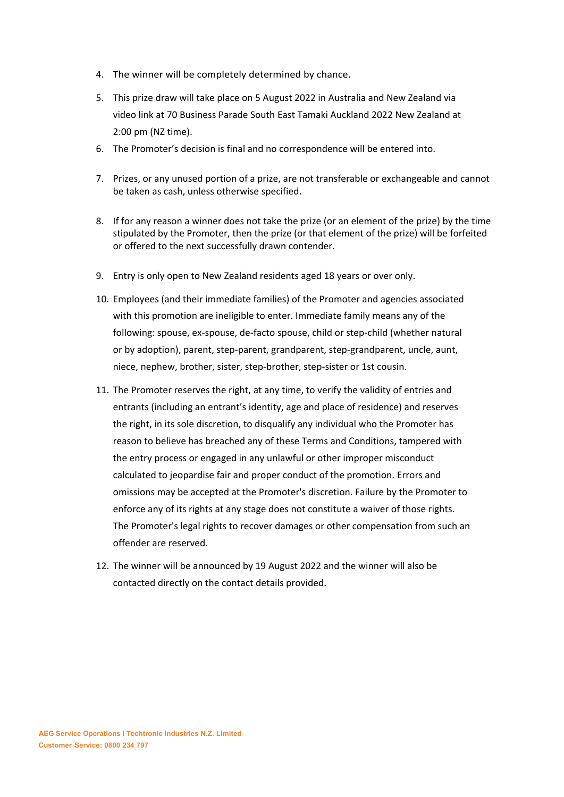- 4. The winner will be completely determined by chance.
- 5. This prize draw will take place on 5 August 2022 in Australia and New Zealand via video link at 70 Business Parade South East Tamaki Auckland 2022 New Zealand at 2:00 pm (NZ time).
- 6. The Promoter's decision is final and no correspondence will be entered into.
- 7. Prizes, or any unused portion of a prize, are not transferable or exchangeable and cannot be taken as cash, unless otherwise specified.
- 8. If for any reason a winner does not take the prize (or an element of the prize) by the time stipulated by the Promoter, then the prize (or that element of the prize) will be forfeited or offered to the next successfully drawn contender.
- 9. Entry is only open to New Zealand residents aged 18 years or over only.
- 10. Employees (and their immediate families) of the Promoter and agencies associated with this promotion are ineligible to enter. Immediate family means any of the following: spouse, ex-spouse, de-facto spouse, child or step-child (whether natural or by adoption), parent, step-parent, grandparent, step-grandparent, uncle, aunt, niece, nephew, brother, sister, step-brother, step-sister or 1st cousin.
- 11. The Promoter reserves the right, at any time, to verify the validity of entries and entrants (including an entrant's identity, age and place of residence) and reserves the right, in its sole discretion, to disqualify any individual who the Promoter has reason to believe has breached any of these Terms and Conditions, tampered with the entry process or engaged in any unlawful or other improper misconduct calculated to jeopardise fair and proper conduct of the promotion. Errors and omissions may be accepted at the Promoter's discretion. Failure by the Promoter to enforce any of its rights at any stage does not constitute a waiver of those rights. The Promoter's legal rights to recover damages or other compensation from such an offender are reserved.
- 12. The winner will be announced by 19 August 2022 and the winner will also be contacted directly on the contact details provided.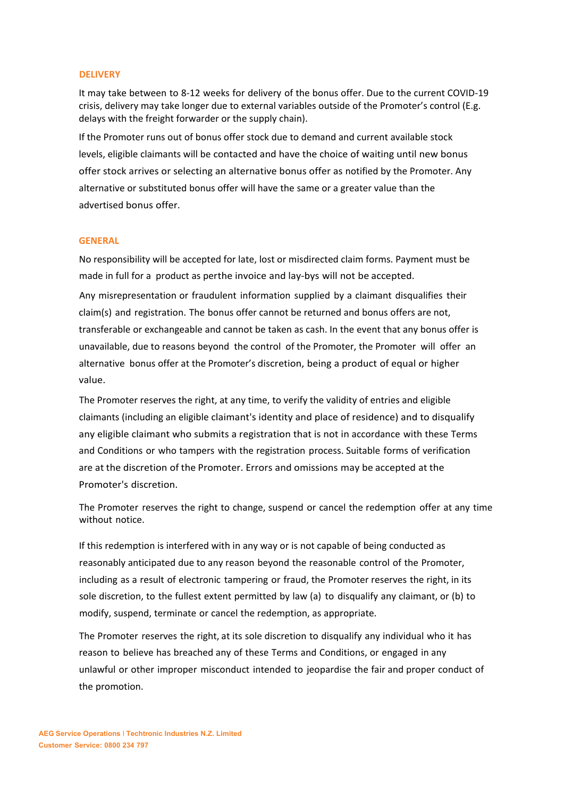#### **DELIVERY**

It may take between to 8-12 weeks for delivery of the bonus offer. Due to the current COVID-19 crisis, delivery may take longer due to external variables outside of the Promoter's control (E.g. delays with the freight forwarder or the supply chain).

If the Promoter runs out of bonus offer stock due to demand and current available stock levels, eligible claimants will be contacted and have the choice of waiting until new bonus offer stock arrives or selecting an alternative bonus offer as notified by the Promoter. Any alternative or substituted bonus offer will have the same or a greater value than the advertised bonus offer.

#### **GENERAL**

No responsibility will be accepted for late, lost or misdirected claim forms. Payment must be made in full for a product as per the invoice and lay-bys will not be accepted.

Any misrepresentation or fraudulent information supplied by a claimant disqualifies their claim(s) and registration. The bonus offer cannot be returned and bonus offers are not, transferable or exchangeable and cannot be taken as cash. In the event that any bonus offer is unavailable, due to reasons beyond the control of the Promoter, the Promoter will offer an alternative bonus offer at the Promoter's discretion, being a product of equal or higher value.

The Promoter reserves the right, at any time, to verify the validity of entries and eligible claimants (including an eligible claimant's identity and place of residence) and to disqualify any eligible claimant who submits a registration that is not in accordance with these Terms and Conditions or who tampers with the registration process. Suitable forms of verification are at the discretion of the Promoter. Errors and omissions may be accepted at the Promoter's discretion.

The Promoter reserves the right to change, suspend or cancel the redemption offer at any time without notice.

If this redemption is interfered with in any way or is not capable of being conducted as reasonably anticipated due to any reason beyond the reasonable control of the Promoter, including as a result of electronic tampering or fraud, the Promoter reserves the right, in its sole discretion, to the fullest extent permitted by law (a) to disqualify any claimant, or (b) to modify, suspend, terminate or cancel the redemption, as appropriate.

The Promoter reserves the right, at its sole discretion to disqualify any individual who it has reason to believe has breached any of these Terms and Conditions, or engaged in any unlawful or other improper misconduct intended to jeopardise the fair and proper conduct of the promotion.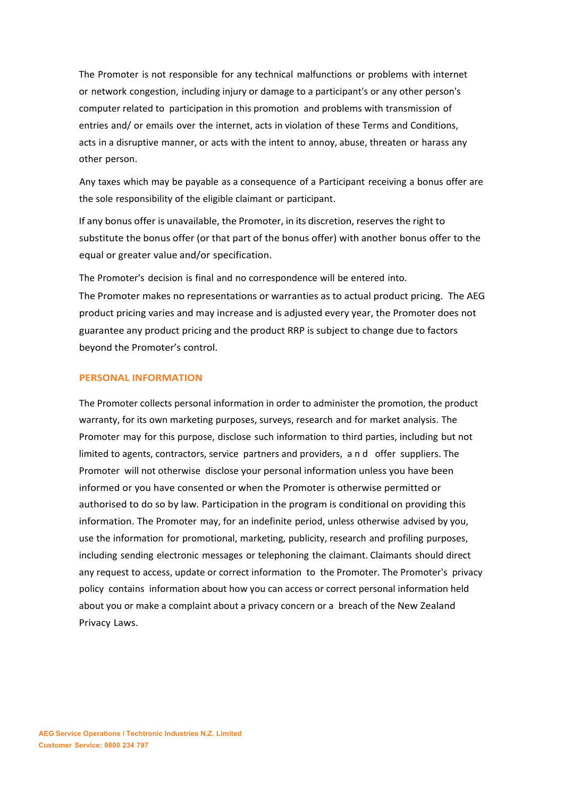The Promoter is not responsible for any technical malfunctions or problems with internet or network congestion, including injury or damage to a participant's or any other person's computer related to participation in this promotion and problems with transmission of entries and/ or emails over the internet, acts in violation of these Terms and Conditions, acts in a disruptive manner, or acts with the intent to annoy, abuse, threaten or harass any other person.

Any taxes which may be payable as a consequence of a Participant receiving a bonus offer are the sole responsibility of the eligible claimant or participant.

If any bonus offer is unavailable, the Promoter, in its discretion, reserves the right to substitute the bonus offer (or that part of the bonus offer) with another bonus offer to the equal or greater value and/or specification.

The Promoter's decision is final and no correspondence will be entered into.

The Promoter makes no representations or warranties as to actual product pricing. The AEG product pricing varies and may increase and is adjusted every year, the Promoter does not guarantee any product pricing and the product RRP is subject to change due to factors beyond the Promoter's control.

## **PERSONAL INFORMATION**

The Promoter collects personal information in order to administer the promotion, the product warranty, for its own marketing purposes, surveys, research and for market analysis. The Promoter may for this purpose, disclose such information to third parties, including but not limited to agents, contractors, service partners and providers, and offer suppliers. The Promoter will not otherwise disclose your personal information unless you have been informed or you have consented or when the Promoter is otherwise permitted or authorised to do so by law. Participation in the program is conditional on providing this information. The Promoter may, for an indefinite period, unless otherwise advised by you, use the information for promotional, marketing, publicity, research and profiling purposes, including sending electronic messages or telephoning the claimant. Claimants should direct any request to access, update or correct information to the Promoter. The Promoter's privacy policy contains information about how you can access or correct personal information held about you or make a complaint about a privacy concern or a breach of the New Zealand Privacy Laws.